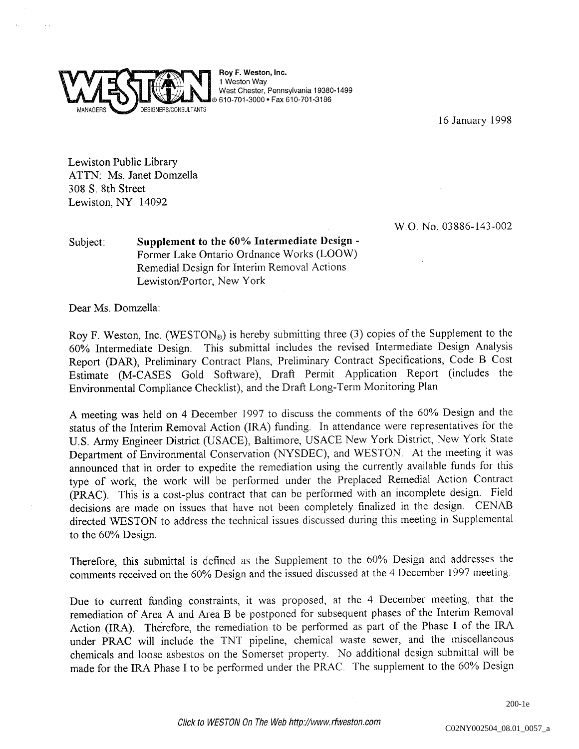

Roy F. Weston, Inc. Weston Way West Chester, Pennsylvania 19380-1499 610-701-3000 Fax 610-701-3186

16 January 1998

W.O. No. 03886-143-002

Lewiston Public Library ATTN: Ms. Janet Domzella 308 S. 8th Street Lewiston, NY 14092

Subject: Supplement to the 60% Intermediate Design -Former Lake Ontario Ordnance Works (LOOW) Remedial Design for Interim Removal Actions Lewiston/Portor, New York

Dear Ms. Domzella:

Roy F. Weston, Inc. (WESTON®) is hereby submitting three  $(3)$  copies of the Supplement to the 60% Intermediate Design. This submittal includes the revised Intermediate Design Analysis Report (DAR), Preliminary Contract Plans, Preliminary Contract Specifications, Code B Cost Estimate (M-CASES Gold Software), Draft Permit Application Report (includes the Environmental Compliance Checklist), and the Draft Long-Term Monitoring Plan.

A meeting was held on 4 December 1997 to discuss the comments of the 60% Design and the status of the Interim Removal Action (IRA) funding. In attendance were representatives for the U.S. Army Engineer District (USACE), Baltimore, USACE New York District, New York State Department of Environmental Conservation (NYSDEC), and WESTON. At the meeting it was announced that in order to expedite the remediation using the currently available funds for this type of work the work will be performed under the Preplaced Remedial Action Contract (PRAC). This is a cost-plus contract that can be performed with an incomplete design. Field decisions are made on issues that have not been completely finalized in the design. CENAB directed WESTON to address the technical issues discussed during this meeting in Supplemental to the 60% Design

Therefore, this submittal is defined as the Supplement to the 60% Design and addresses the comments received on the 60% Design and the issued discussed at the 4 December 1997 meeting.

Due to current funding constraints, it was proposed, at the 4 December meeting, that the remediation of Area A and Area B be postponed for subsequent phases of the Interim Removal Action (IRA). Therefore, the remediation to be performed as part of the Phase I of the IRA under PRAC will include the TNT pipeline, chemical waste sewer, and the miscellaneous chemicals and loose asbestos on the Somerset property. No additional design submittal will be made for the IRA Phase I to be performed under the PRAC. The supplement to the 60% Design